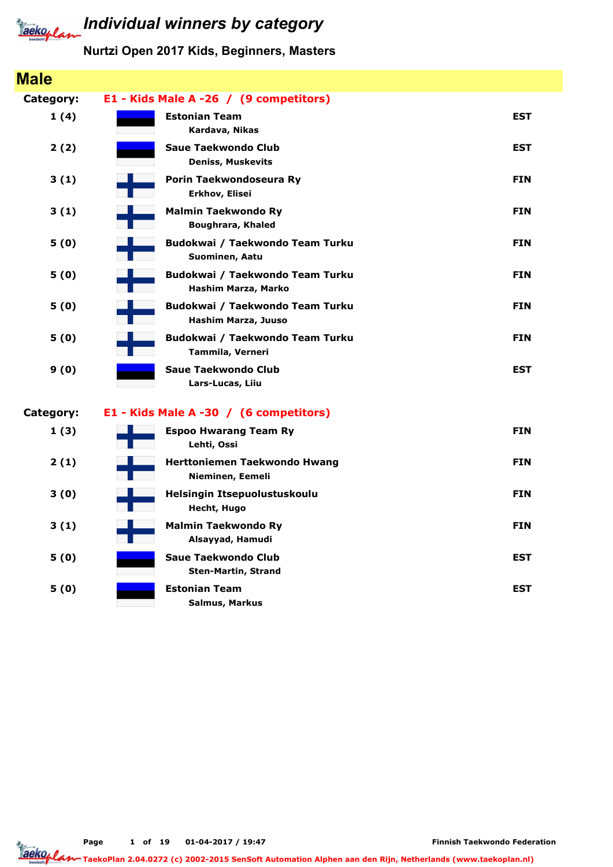

#### Individual winners by category

#### Nurtzi Open 2017 Kids, Beginners, Masters

#### Male Category: E1 - Kids Male A -26 / (9 competitors) 1 (4) Kardava, Nikas Estonian Team EST 2 (2) Deniss, Muskevits Saue Taekwondo Club EST (1999) and the State of the State of the State of the State of the State of the State o 3 (1) Erkhov, Elisei Porin Taekwondoseura Ry **FIN** 3 (1) Boughrara, Khaled Malmin Taekwondo Ry **FIN** 5 (0) Suominen, Aatu Budokwai / Taekwondo Team Turku **FIN** 5 (0) Hashim Marza, Marko Budokwai / Taekwondo Team Turku **FIN** 5 (0) Hashim Marza, Juuso Budokwai / Taekwondo Team Turku **FIN** 5 (0) Tammila, Verneri Budokwai / Taekwondo Team Turku FIN 9 (0) Lars-Lucas, Liiu Saue Taekwondo Club EST (Saue Taekwondo Club EST) Category: E1 - Kids Male A -30 / (6 competitors) 1 (3) Lehti, Ossi Espoo Hwarang Team Ry FIN 2 (1) Nieminen, Eemeli **Herttoniemen Taekwondo Hwang FIN** 3 (0) Hecht, Hugo Helsingin Itsepuolustuskoulu FIN 3 (1) Alsayyad, Hamudi Malmin Taekwondo Ry **FIN** 5 (0) Sten-Martin, Strand Saue Taekwondo Club **EST** 5 (0) Salmus, Markus Estonian Team EST

Page 1 of 19 01-04-2017 / 19:47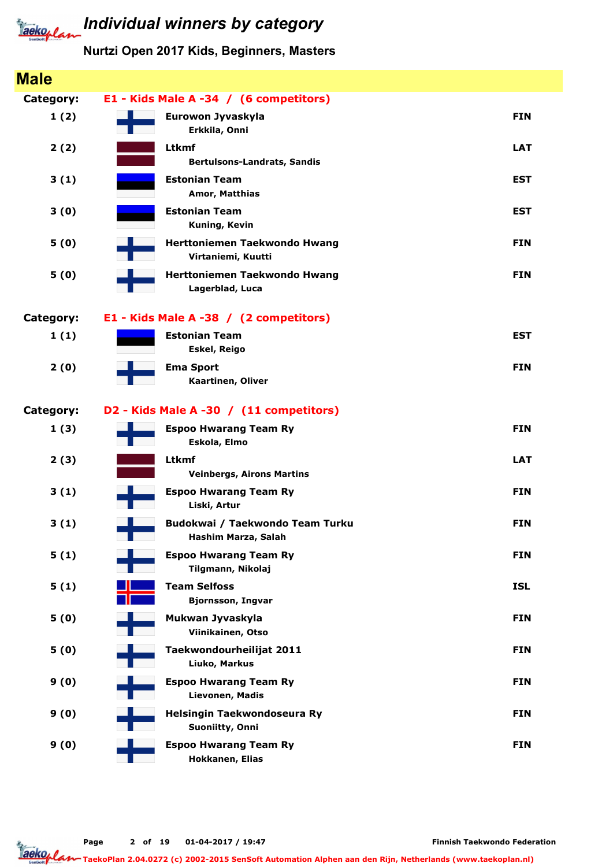

| <b>Male</b>      |                                                                     |            |
|------------------|---------------------------------------------------------------------|------------|
| Category:        | E1 - Kids Male A -34 / (6 competitors)                              |            |
| 1(2)             | Eurowon Jyvaskyla<br>Erkkila, Onni                                  | <b>FIN</b> |
| 2(2)             | Ltkmf<br><b>Bertulsons-Landrats, Sandis</b>                         | <b>LAT</b> |
| 3(1)             | <b>Estonian Team</b><br>Amor, Matthias                              | <b>EST</b> |
| 3(0)             | <b>Estonian Team</b><br>Kuning, Kevin                               | <b>EST</b> |
| 5(0)             | Herttoniemen Taekwondo Hwang<br>Virtaniemi, Kuutti                  | <b>FIN</b> |
| 5(0)             | <b>Herttoniemen Taekwondo Hwang</b><br>Lagerblad, Luca              | <b>FIN</b> |
| <b>Category:</b> | E1 - Kids Male A -38 / (2 competitors)                              |            |
| 1(1)             | <b>Estonian Team</b><br><b>Eskel, Reigo</b>                         | <b>EST</b> |
| 2(0)             | <b>Ema Sport</b><br>Kaartinen, Oliver                               | <b>FIN</b> |
| <b>Category:</b> | D2 - Kids Male A -30 / (11 competitors)                             |            |
| 1(3)             | <b>Espoo Hwarang Team Ry</b><br>Eskola, Elmo                        | <b>FIN</b> |
| 2(3)             | <b>Ltkmf</b><br><b>Veinbergs, Airons Martins</b>                    | <b>LAT</b> |
| 3(1)             | <b>Espoo Hwarang Team Ry</b><br>Liski, Artur                        | <b>FIN</b> |
| 3(1)             | Budokwai / Taekwondo Team Turku<br>$\sim 10$<br>Hashim Marza, Salah | <b>FIN</b> |
| 5(1)             | <b>Espoo Hwarang Team Ry</b><br>Tilgmann, Nikolaj                   | <b>FIN</b> |
| 5(1)             | <b>Team Selfoss</b><br><b>Bjornsson, Ingvar</b>                     | <b>ISL</b> |
| 5(0)             | Mukwan Jyvaskyla<br>Viinikainen, Otso                               | <b>FIN</b> |
| 5(0)             | Taekwondourheilijat 2011<br>Liuko, Markus                           | <b>FIN</b> |
| 9(0)             | <b>Espoo Hwarang Team Ry</b><br>Lievonen, Madis                     | <b>FIN</b> |
| 9(0)             | Helsingin Taekwondoseura Ry<br>Suoniitty, Onni                      | <b>FIN</b> |
| 9(0)             | <b>Espoo Hwarang Team Ry</b><br>Hokkanen, Elias                     | <b>FIN</b> |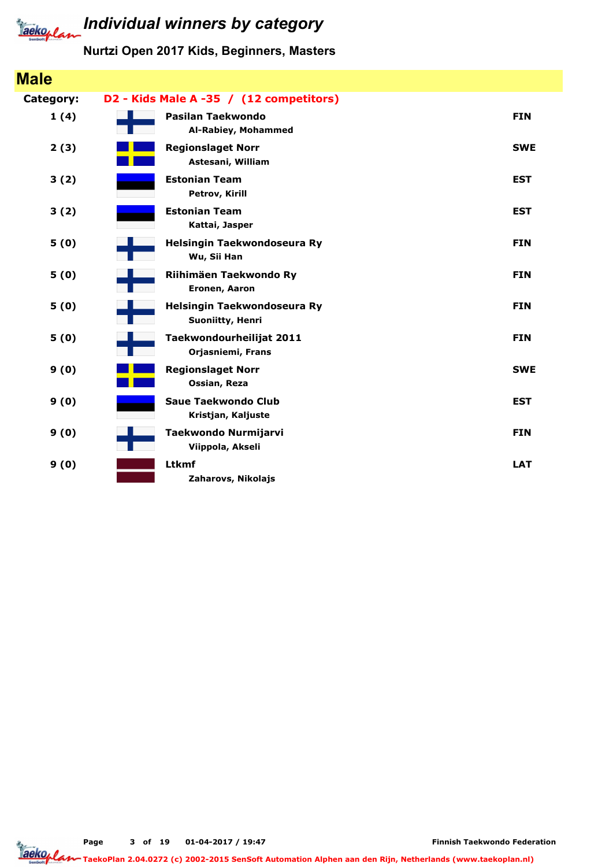

### Individual winners by category

#### Nurtzi Open 2017 Kids, Beginners, Masters

| <b>Male</b> |                                                 |            |
|-------------|-------------------------------------------------|------------|
| Category:   | D2 - Kids Male A -35 / (12 competitors)         |            |
| 1(4)        | Pasilan Taekwondo<br>Al-Rabiey, Mohammed        | <b>FIN</b> |
| 2(3)        | <b>Regionslaget Norr</b><br>Astesani, William   | <b>SWE</b> |
| 3(2)        | <b>Estonian Team</b><br>Petrov, Kirill          | <b>EST</b> |
| 3(2)        | <b>Estonian Team</b><br>Kattai, Jasper          | <b>EST</b> |
| 5(0)        | Helsingin Taekwondoseura Ry<br>Wu, Sii Han      | <b>FIN</b> |
| 5(0)        | Riihimäen Taekwondo Ry<br>Eronen, Aaron         | <b>FIN</b> |
| 5(0)        | Helsingin Taekwondoseura Ry<br>Suoniitty, Henri | <b>FIN</b> |
| 5(0)        | Taekwondourheilijat 2011<br>Orjasniemi, Frans   | <b>FIN</b> |
| 9(0)        | <b>Regionslaget Norr</b><br>Ossian, Reza        | <b>SWE</b> |
| 9(0)        | Saue Taekwondo Club<br>Kristjan, Kaljuste       | <b>EST</b> |
| 9(0)        | Taekwondo Nurmijarvi<br>Viippola, Akseli        | <b>FIN</b> |
| 9(0)        | <b>Ltkmf</b><br>Zaharovs, Nikolajs              | <b>LAT</b> |

Page 3 of 19 01-04-2017 / 19:47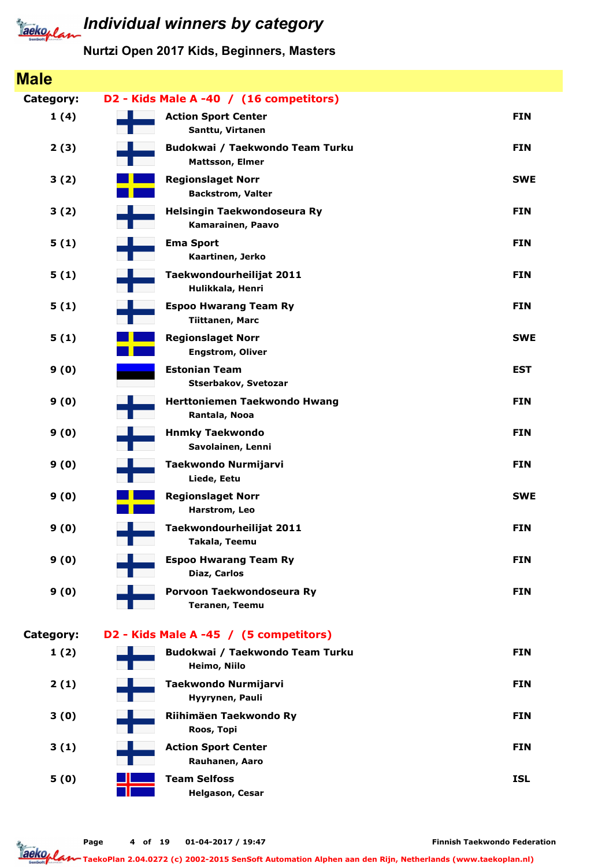

### Individual winners by category

#### Nurtzi Open 2017 Kids, Beginners, Masters

#### Male Category: D2 - Kids Male A -40 / (16 competitors) 1 (4) Santtu, Virtanen Action Sport Center FIN 2 (3) Mattsson, Elmer Budokwai / Taekwondo Team Turku **FIN** 3 (2) Backstrom, Valter **Regionslaget Norr SWE** 3 (2) Kamarainen, Paavo Helsingin Taekwondoseura Ry FIN 5 (1) Kaartinen, Jerko Ema Sport FIN 5 (1) Hulikkala, Henri Taekwondourheilijat 2011 **FIN** 5 (1) Tiittanen, Marc Espoo Hwarang Team Ry FIN 5 (1) Engstrom, Oliver Regionslaget Norr SWE 9 (0) Stserbakov, Svetozar Estonian Team EST 9 (0) Rantala, Nooa Herttoniemen Taekwondo Hwang FIN 9 (0) Savolainen, Lenni Hnmky Taekwondo FIN 9 (0) Liede, Eetu Taekwondo Nurmijarvi FIN 9 (0) Harstrom, Leo **Regionslaget Norr SWE** 9 (0) Takala, Teemu Taekwondourheilijat 2011 **FIN** 9 (0) Diaz, Carlos Espoo Hwarang Team Ry FIN 9 (0) Teranen, Teemu Porvoon Taekwondoseura Ry FIN Category: D2 - Kids Male A -45 / (5 competitors)  $1(2)$ Heimo, Niilo Budokwai / Taekwondo Team Turku **FIN** 2 (1) Hyyrynen, Pauli Taekwondo Nurmijarvi FIN 3 (0) Roos, Topi Riihimäen Taekwondo Ry FIN 3 (1) Rauhanen, Aaro Action Sport Center FIN 5 (0) Helgason, Cesar Team Selfoss ISL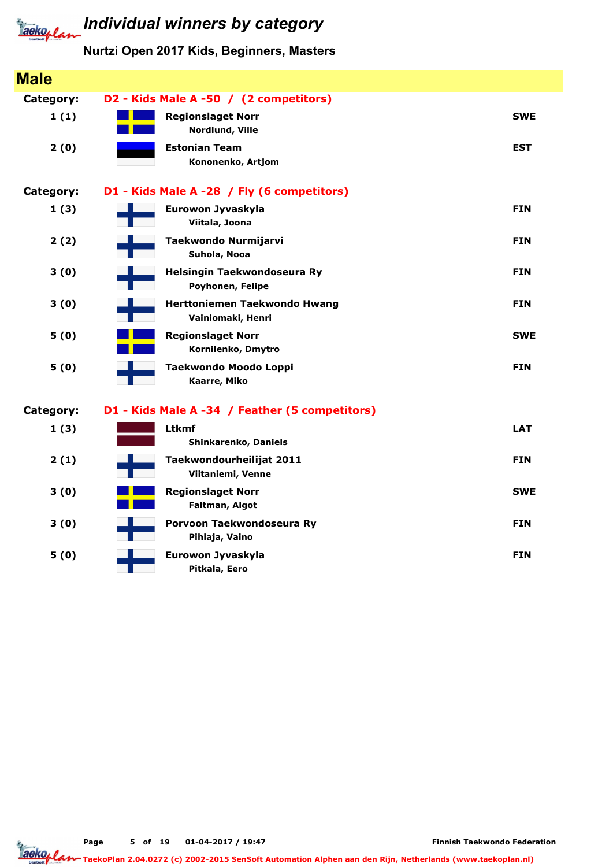

#### Nurtzi Open 2017 Kids, Beginners, Masters

| <b>Male</b>      |                                                   |            |
|------------------|---------------------------------------------------|------------|
| Category:        | D2 - Kids Male A -50 / (2 competitors)            |            |
| 1(1)             | <b>Regionslaget Norr</b><br>Nordlund, Ville       | <b>SWE</b> |
| 2(0)             | <b>Estonian Team</b><br>Kononenko, Artjom         | <b>EST</b> |
| <b>Category:</b> | D1 - Kids Male A -28 / Fly (6 competitors)        |            |
| 1(3)             | Eurowon Jyvaskyla<br>Viitala, Joona               | <b>FIN</b> |
| 2(2)             | Taekwondo Nurmijarvi<br>Suhola, Nooa              | <b>FIN</b> |
| 3(0)             | Helsingin Taekwondoseura Ry<br>Poyhonen, Felipe   | <b>FIN</b> |
| 3(0)             | Herttoniemen Taekwondo Hwang<br>Vainiomaki, Henri | <b>FIN</b> |
| 5(0)             | <b>Regionslaget Norr</b><br>Kornilenko, Dmytro    | <b>SWE</b> |
| 5(0)             | Taekwondo Moodo Loppi<br>Kaarre, Miko             | <b>FIN</b> |
| Category:        | D1 - Kids Male A -34 / Feather (5 competitors)    |            |
| 1(3)             | <b>Ltkmf</b><br>Shinkarenko, Daniels              | <b>LAT</b> |
| 2(1)             | Taekwondourheilijat 2011<br>Viitaniemi, Venne     | <b>FIN</b> |
| 3(0)             | <b>Regionslaget Norr</b><br>Faltman, Algot        | <b>SWE</b> |
| 3(0)             | Porvoon Taekwondoseura Ry<br>Pihlaja, Vaino       | <b>FIN</b> |
| 5(0)             | Eurowon Jyvaskyla<br>Pitkala, Eero                | <b>FIN</b> |

Page 5 of 19 01-04-2017 / 19:47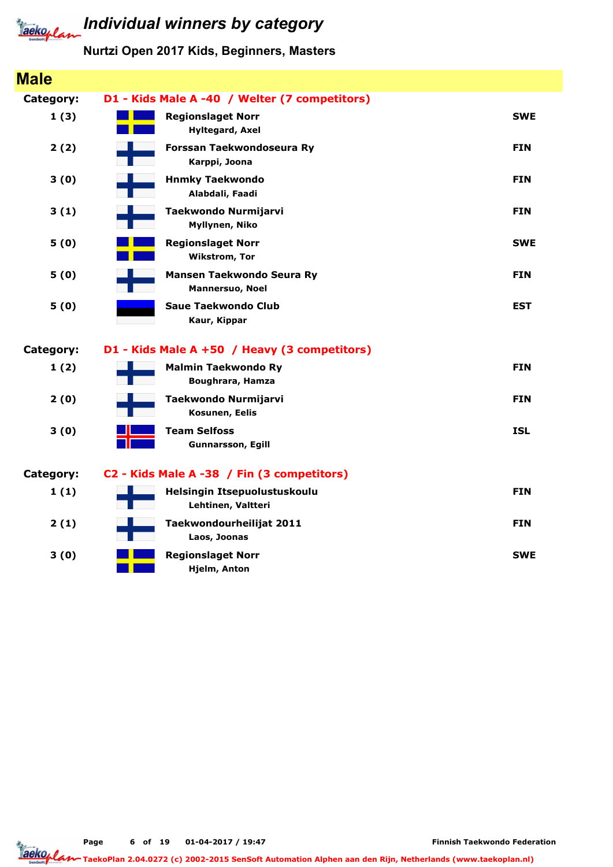

#### Nurtzi Open 2017 Kids, Beginners, Masters

| <b>Male</b> |                                                       |            |
|-------------|-------------------------------------------------------|------------|
| Category:   | D1 - Kids Male A -40 / Welter (7 competitors)         |            |
| 1(3)        | <b>Regionslaget Norr</b><br><b>Hyltegard, Axel</b>    | <b>SWE</b> |
| 2(2)        | Forssan Taekwondoseura Ry<br>Karppi, Joona            | <b>FIN</b> |
| 3(0)        | <b>Hnmky Taekwondo</b><br>Alabdali, Faadi             | <b>FIN</b> |
| 3(1)        | Taekwondo Nurmijarvi<br>Myllynen, Niko                | <b>FIN</b> |
| 5(0)        | <b>Regionslaget Norr</b><br><b>Wikstrom, Tor</b>      | <b>SWE</b> |
| 5(0)        | Mansen Taekwondo Seura Ry<br>Mannersuo, Noel          | <b>FIN</b> |
| 5(0)        | <b>Saue Taekwondo Club</b><br>Kaur, Kippar            | <b>EST</b> |
| Category:   | D1 - Kids Male A +50 / Heavy (3 competitors)          |            |
| 1(2)        | <b>Malmin Taekwondo Ry</b><br><b>Boughrara, Hamza</b> | <b>FIN</b> |
| 2(0)        | Taekwondo Nurmijarvi<br>Kosunen, Eelis                | <b>FIN</b> |
| 3(0)        | <b>Team Selfoss</b><br><b>Gunnarsson, Egill</b>       | <b>ISL</b> |
| Category:   | C2 - Kids Male A -38 / Fin (3 competitors)            |            |
| 1(1)        | Helsingin Itsepuolustuskoulu<br>Lehtinen, Valtteri    | <b>FIN</b> |
| 2(1)        | Taekwondourheilijat 2011<br>Laos, Joonas              | <b>FIN</b> |
| 3(0)        | <b>Regionslaget Norr</b><br>Hjelm, Anton              | <b>SWE</b> |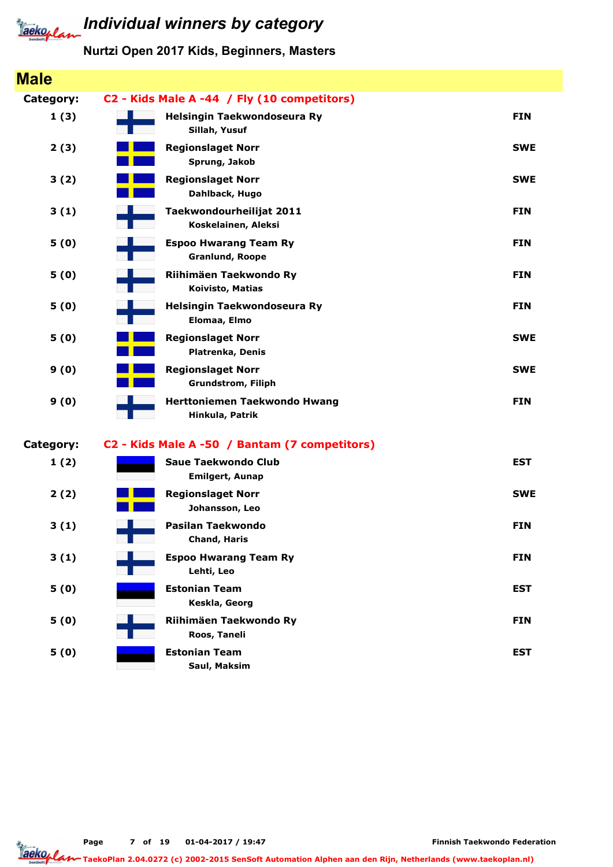

#### Nurtzi Open 2017 Kids, Beginners, Masters

| <b>Male</b>      |                                                        |            |
|------------------|--------------------------------------------------------|------------|
| <b>Category:</b> | C2 - Kids Male A -44 / Fly (10 competitors)            |            |
| 1(3)             | Helsingin Taekwondoseura Ry<br>Sillah, Yusuf           | <b>FIN</b> |
| 2(3)             | <b>Regionslaget Norr</b><br>Sprung, Jakob              | <b>SWE</b> |
| 3(2)             | <b>Regionslaget Norr</b><br>Dahlback, Hugo             | <b>SWE</b> |
| 3(1)             | Taekwondourheilijat 2011<br>Koskelainen, Aleksi        | <b>FIN</b> |
| 5(0)             | <b>Espoo Hwarang Team Ry</b><br><b>Granlund, Roope</b> | <b>FIN</b> |
| 5(0)             | Riihimäen Taekwondo Ry<br>Koivisto, Matias             | <b>FIN</b> |
| 5(0)             | Helsingin Taekwondoseura Ry<br>Elomaa, Elmo            | <b>FIN</b> |
| 5(0)             | <b>Regionslaget Norr</b><br>Platrenka, Denis           | <b>SWE</b> |
| 9(0)             | <b>Regionslaget Norr</b><br><b>Grundstrom, Filiph</b>  | <b>SWE</b> |
| 9(0)             | Herttoniemen Taekwondo Hwang<br>Hinkula, Patrik        | <b>FIN</b> |
| <b>Category:</b> | C2 - Kids Male A -50 / Bantam (7 competitors)          |            |
| 1(2)             | <b>Saue Taekwondo Club</b><br><b>Emilgert, Aunap</b>   | <b>EST</b> |
| 2(2)             | <b>Regionslaget Norr</b><br>Johansson, Leo             | <b>SWE</b> |
| 3(1)             | Pasilan Taekwondo<br><b>Chand, Haris</b>               | <b>FIN</b> |
| 3(1)             | <b>Espoo Hwarang Team Ry</b><br>Lehti, Leo             | <b>FIN</b> |
| 5(0)             | <b>Estonian Team</b><br>Keskla, Georg                  | <b>EST</b> |
| 5(0)             | Riihimäen Taekwondo Ry<br>Roos, Taneli                 | <b>FIN</b> |
| 5(0)             | <b>Estonian Team</b><br>Saul, Maksim                   | <b>EST</b> |

Page 7 of 19 01-04-2017 / 19:47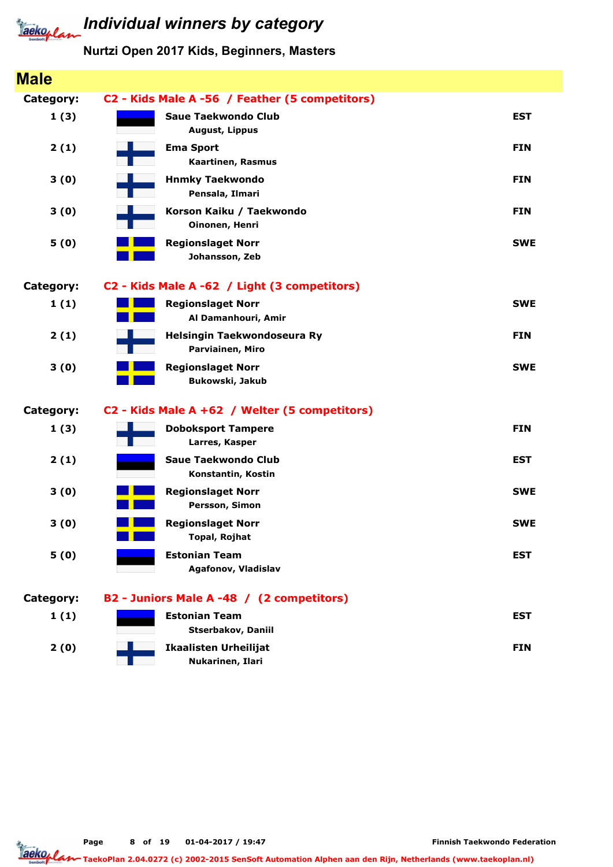

#### Nurtzi Open 2017 Kids, Beginners, Masters

| <b>Male</b> |                                                     |            |
|-------------|-----------------------------------------------------|------------|
| Category:   | C2 - Kids Male A -56 / Feather (5 competitors)      |            |
| 1(3)        | <b>Saue Taekwondo Club</b><br><b>August, Lippus</b> | <b>EST</b> |
| 2(1)        | <b>Ema Sport</b><br>Kaartinen, Rasmus               | <b>FIN</b> |
| 3(0)        | <b>Hnmky Taekwondo</b><br>Pensala, Ilmari           | <b>FIN</b> |
| 3(0)        | Korson Kaiku / Taekwondo<br>Oinonen, Henri          | <b>FIN</b> |
| 5(0)        | <b>Regionslaget Norr</b><br>Johansson, Zeb          | <b>SWE</b> |
| Category:   | C2 - Kids Male A -62 / Light (3 competitors)        |            |
| 1(1)        | <b>Regionslaget Norr</b><br>Al Damanhouri, Amir     | <b>SWE</b> |
| 2(1)        | Helsingin Taekwondoseura Ry<br>Parviainen, Miro     | <b>FIN</b> |
| 3(0)        | <b>Regionslaget Norr</b><br>Bukowski, Jakub         | <b>SWE</b> |
| Category:   | C2 - Kids Male A +62 / Welter (5 competitors)       |            |
| 1(3)        | <b>Doboksport Tampere</b><br>Larres, Kasper         | <b>FIN</b> |
| 2(1)        | <b>Saue Taekwondo Club</b><br>Konstantin, Kostin    | <b>EST</b> |
| 3(0)        | <b>Regionslaget Norr</b><br>Persson, Simon          | <b>SWE</b> |
| 3(0)        | <b>Regionslaget Norr</b><br>Topal, Rojhat           | <b>SWE</b> |
| 5(0)        | <b>Estonian Team</b><br>Agafonov, Vladislav         | <b>EST</b> |
| Category:   | B2 - Juniors Male A -48 / (2 competitors)           |            |
| 1(1)        | <b>Estonian Team</b><br>Stserbakov, Daniil          | <b>EST</b> |
| 2(0)        | <b>Ikaalisten Urheilijat</b><br>Nukarinen, Ilari    | <b>FIN</b> |

Page 8 of 19 01-04-2017 / 19:47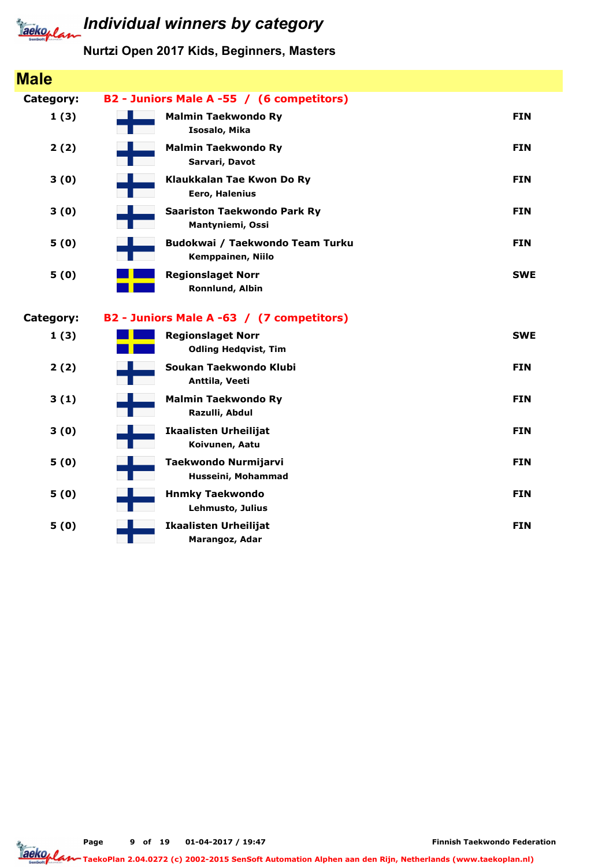

#### Nurtzi Open 2017 Kids, Beginners, Masters

| <b>Male</b>      |                                                         |            |
|------------------|---------------------------------------------------------|------------|
| <b>Category:</b> | B2 - Juniors Male A -55 / (6 competitors)               |            |
| 1(3)             | <b>Malmin Taekwondo Ry</b><br>Isosalo, Mika             | <b>FIN</b> |
| 2(2)             | <b>Malmin Taekwondo Ry</b><br>Sarvari, Davot            | <b>FIN</b> |
| 3(0)             | Klaukkalan Tae Kwon Do Ry<br>Eero, Halenius             | <b>FIN</b> |
| 3(0)             | <b>Saariston Taekwondo Park Ry</b><br>Mantyniemi, Ossi  | <b>FIN</b> |
| 5(0)             | Budokwai / Taekwondo Team Turku<br>Kemppainen, Niilo    | <b>FIN</b> |
| 5(0)             | <b>Regionslaget Norr</b><br>Ronnlund, Albin             | <b>SWE</b> |
| Category:        | B2 - Juniors Male A -63 / (7 competitors)               |            |
| 1(3)             | <b>Regionslaget Norr</b><br><b>Odling Hedqvist, Tim</b> | <b>SWE</b> |
| 2(2)             | Soukan Taekwondo Klubi<br>Anttila, Veeti                | <b>FIN</b> |
| 3(1)             | <b>Malmin Taekwondo Ry</b><br>Razulli, Abdul            | <b>FIN</b> |
| 3(0)             | <b>Ikaalisten Urheilijat</b><br>Koivunen, Aatu          | <b>FIN</b> |
| 5(0)             | <b>Taekwondo Nurmijarvi</b><br>Husseini, Mohammad       | <b>FIN</b> |
| 5(0)             | <b>Hnmky Taekwondo</b><br>Lehmusto, Julius              | <b>FIN</b> |
|                  |                                                         |            |

Page 9 of 19 01-04-2017 / 19:47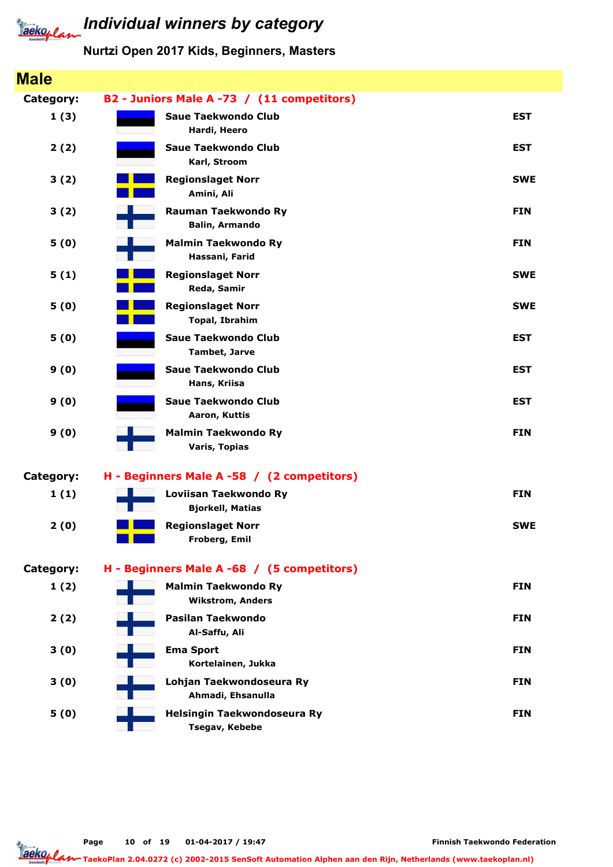

| <b>Male</b>      |                                                       |            |
|------------------|-------------------------------------------------------|------------|
| Category:        | B2 - Juniors Male A -73 / (11 competitors)            |            |
| 1(3)             | <b>Saue Taekwondo Club</b><br>Hardi, Heero            | <b>EST</b> |
| 2(2)             | <b>Saue Taekwondo Club</b><br>Karl, Stroom            | <b>EST</b> |
| 3(2)             | <b>Regionslaget Norr</b><br>Amini, Ali                | <b>SWE</b> |
| 3(2)             | <b>Rauman Taekwondo Ry</b><br><b>Balin, Armando</b>   | <b>FIN</b> |
| 5(0)             | <b>Malmin Taekwondo Ry</b><br>Hassani, Farid          | <b>FIN</b> |
| 5(1)             | <b>Regionslaget Norr</b><br>Reda, Samir               | <b>SWE</b> |
| 5(0)             | <b>Regionslaget Norr</b><br><b>Topal, Ibrahim</b>     | <b>SWE</b> |
| 5(0)             | <b>Saue Taekwondo Club</b><br><b>Tambet, Jarve</b>    | <b>EST</b> |
| 9(0)             | <b>Saue Taekwondo Club</b><br>Hans, Kriisa            | <b>EST</b> |
| 9(0)             | <b>Saue Taekwondo Club</b><br>Aaron, Kuttis           | <b>EST</b> |
| 9(0)             | <b>Malmin Taekwondo Ry</b><br><b>Varis, Topias</b>    | <b>FIN</b> |
| <b>Category:</b> | H - Beginners Male A -58 / (2 competitors)            |            |
| 1(1)             | Loviisan Taekwondo Ry<br><b>Bjorkell, Matias</b>      | <b>FIN</b> |
| 2(0)             | <b>Regionslaget Norr</b><br>Froberg, Emil             | <b>SWE</b> |
| Category:        | H - Beginners Male A -68 / (5 competitors)            |            |
| 1(2)             | <b>Malmin Taekwondo Ry</b><br><b>Wikstrom, Anders</b> | <b>FIN</b> |
| 2(2)             | Pasilan Taekwondo<br>Al-Saffu, Ali                    | <b>FIN</b> |
| 3(0)             | <b>Ema Sport</b><br>Kortelainen, Jukka                | <b>FIN</b> |
| 3(0)             | Lohjan Taekwondoseura Ry<br>Ahmadi, Ehsanulla         | <b>FIN</b> |
| 5(0)             | Helsingin Taekwondoseura Ry<br>Tsegav, Kebebe         | <b>FIN</b> |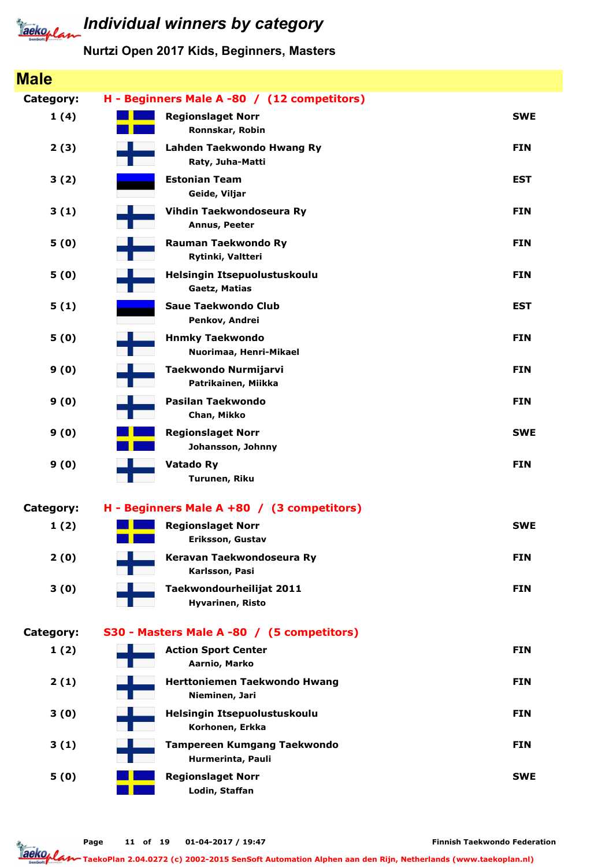

#### Nurtzi Open 2017 Kids, Beginners, Masters

| <b>Male</b> |                                                         |            |
|-------------|---------------------------------------------------------|------------|
| Category:   | H - Beginners Male A -80 / (12 competitors)             |            |
| 1(4)        | <b>Regionslaget Norr</b><br>Ronnskar, Robin             | <b>SWE</b> |
| 2(3)        | Lahden Taekwondo Hwang Ry<br>Raty, Juha-Matti           | <b>FIN</b> |
| 3(2)        | <b>Estonian Team</b><br>Geide, Viljar                   | <b>EST</b> |
| 3(1)        | Vihdin Taekwondoseura Ry<br>Annus, Peeter               | <b>FIN</b> |
| 5(0)        | <b>Rauman Taekwondo Ry</b><br>Rytinki, Valtteri         | <b>FIN</b> |
| 5(0)        | Helsingin Itsepuolustuskoulu<br>Gaetz, Matias           | <b>FIN</b> |
| 5(1)        | <b>Saue Taekwondo Club</b><br>Penkov, Andrei            | <b>EST</b> |
| 5(0)        | <b>Hnmky Taekwondo</b><br>Nuorimaa, Henri-Mikael        | <b>FIN</b> |
| 9(0)        | Taekwondo Nurmijarvi<br>Patrikainen, Miikka             | <b>FIN</b> |
| 9(0)        | Pasilan Taekwondo<br>Chan, Mikko                        | <b>FIN</b> |
| 9(0)        | <b>Regionslaget Norr</b><br>Johansson, Johnny           | <b>SWE</b> |
| 9(0)        | <b>Vatado Ry</b><br>Turunen, Riku                       | <b>FIN</b> |
| Category:   | H - Beginners Male A +80 / (3 competitors)              |            |
| 1(2)        | <b>Regionslaget Norr</b>                                | <b>SWE</b> |
|             | Eriksson, Gustav                                        |            |
| 2(0)        | Keravan Taekwondoseura Ry<br>Karlsson, Pasi             | <b>FIN</b> |
| 3(0)        | Taekwondourheilijat 2011<br><b>Hyvarinen, Risto</b>     | <b>FIN</b> |
| Category:   | S30 - Masters Male A -80 / (5 competitors)              |            |
| 1(2)        | <b>Action Sport Center</b><br>Aarnio, Marko             | <b>FIN</b> |
| 2(1)        | Herttoniemen Taekwondo Hwang<br>Nieminen, Jari          | <b>FIN</b> |
| 3(0)        | Helsingin Itsepuolustuskoulu<br>Korhonen, Erkka         | <b>FIN</b> |
| 3(1)        | <b>Tampereen Kumgang Taekwondo</b><br>Hurmerinta, Pauli | <b>FIN</b> |
| 5(0)        | <b>Regionslaget Norr</b><br>Lodin, Staffan              | <b>SWE</b> |

Finnish Taekwondo Federation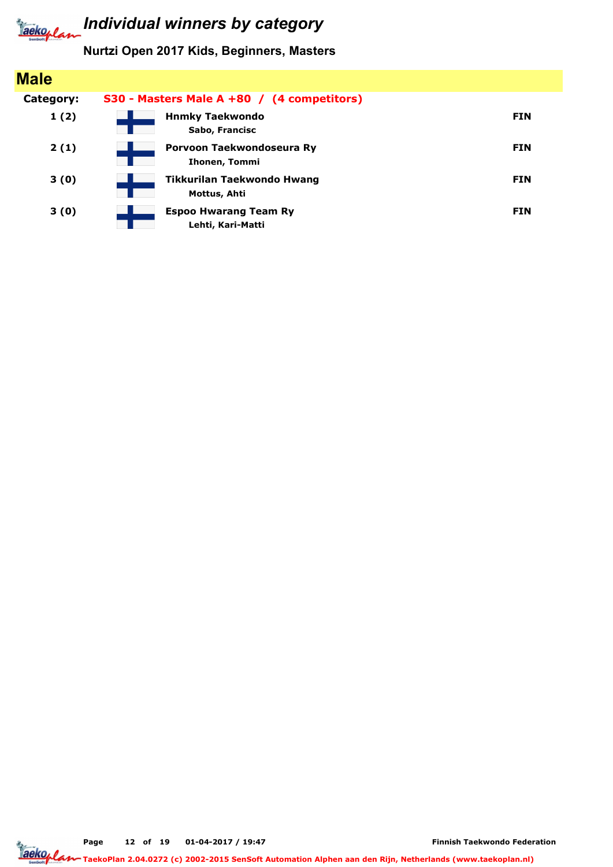#### Nurtzi Open 2017 Kids, Beginners, Masters

| <b>Male</b> |                                                   |            |
|-------------|---------------------------------------------------|------------|
| Category:   | S30 - Masters Male A +80 / (4 competitors)        |            |
| 1(2)        | <b>Hnmky Taekwondo</b><br>Sabo, Francisc          | <b>FIN</b> |
| 2(1)        | Porvoon Taekwondoseura Ry<br>Ihonen, Tommi        | <b>FIN</b> |
| 3(0)        | Tikkurilan Taekwondo Hwang<br>Mottus, Ahti        | <b>FIN</b> |
| 3(0)        | <b>Espoo Hwarang Team Ry</b><br>Lehti, Kari-Matti | <b>FIN</b> |

Page 12 of 19 01-04-2017 / 19:47

Finnish Taekwondo Federation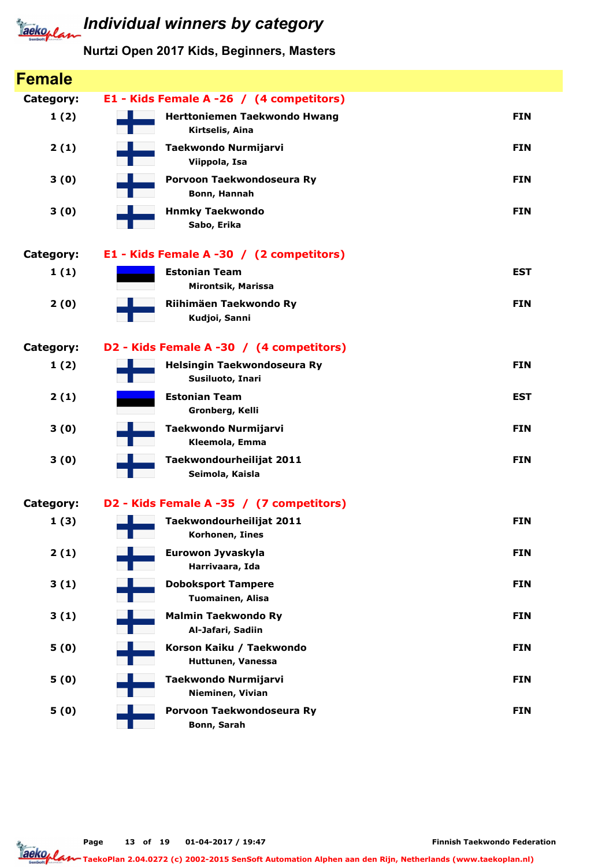| <b>Female</b> |                                                   |            |
|---------------|---------------------------------------------------|------------|
| Category:     | E1 - Kids Female A -26 / (4 competitors)          |            |
| 1(2)          | Herttoniemen Taekwondo Hwang<br>Kirtselis, Aina   | <b>FIN</b> |
| 2(1)          | Taekwondo Nurmijarvi<br>Viippola, Isa             | <b>FIN</b> |
| 3(0)          | Porvoon Taekwondoseura Ry<br>Bonn, Hannah         | <b>FIN</b> |
| 3(0)          | <b>Hnmky Taekwondo</b><br>Sabo, Erika             | <b>FIN</b> |
| Category:     | E1 - Kids Female A -30 / (2 competitors)          |            |
| 1(1)          | <b>Estonian Team</b><br><b>Mirontsik, Marissa</b> | <b>EST</b> |
| 2(0)          | Riihimäen Taekwondo Ry<br>Kudjoi, Sanni           | <b>FIN</b> |
| Category:     | D2 - Kids Female A -30 / (4 competitors)          |            |
| 1(2)          | Helsingin Taekwondoseura Ry<br>Susiluoto, Inari   | <b>FIN</b> |
| 2(1)          | <b>Estonian Team</b><br>Gronberg, Kelli           | <b>EST</b> |
| 3(0)          | Taekwondo Nurmijarvi<br>Kleemola, Emma            | <b>FIN</b> |
| 3(0)          | Taekwondourheilijat 2011<br>Seimola, Kaisla       | <b>FIN</b> |
| Category:     | D2 - Kids Female A -35 / (7 competitors)          |            |
| 1(3)          | Taekwondourheilijat 2011<br>Korhonen, Iines       | <b>FIN</b> |
| 2(1)          | Eurowon Jyvaskyla<br>Harrivaara, Ida              | <b>FIN</b> |
| 3(1)          | <b>Doboksport Tampere</b><br>Tuomainen, Alisa     | <b>FIN</b> |
| 3(1)          | <b>Malmin Taekwondo Ry</b><br>Al-Jafari, Sadiin   | <b>FIN</b> |
| 5(0)          | Korson Kaiku / Taekwondo<br>Huttunen, Vanessa     | <b>FIN</b> |
| 5(0)          | Taekwondo Nurmijarvi<br>Nieminen, Vivian          | <b>FIN</b> |
| 5(0)          | Porvoon Taekwondoseura Ry<br>Bonn, Sarah          | <b>FIN</b> |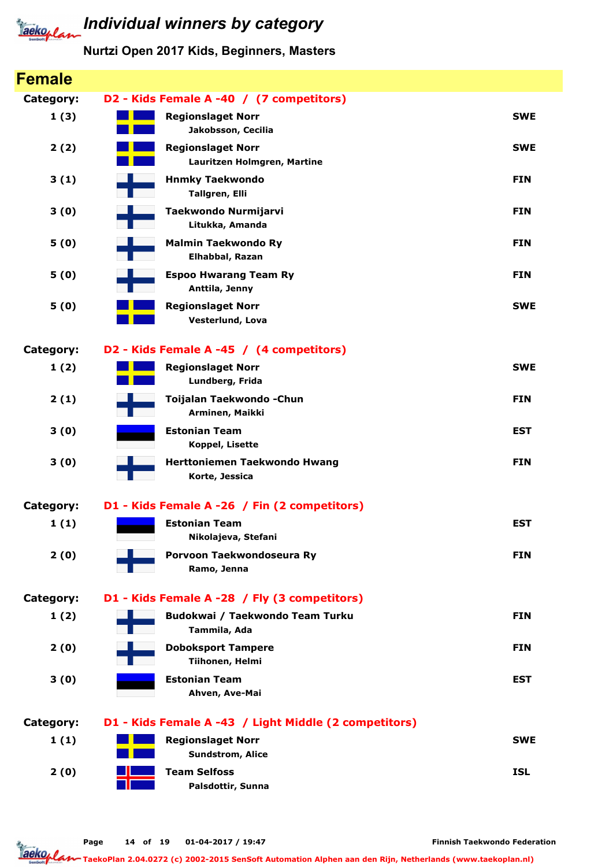

| <b>Female</b>    |                                                         |            |
|------------------|---------------------------------------------------------|------------|
| <b>Category:</b> | D2 - Kids Female A -40 / (7 competitors)                |            |
| 1(3)             | <b>Regionslaget Norr</b><br>Jakobsson, Cecilia          | <b>SWE</b> |
| 2(2)             | <b>Regionslaget Norr</b><br>Lauritzen Holmgren, Martine | <b>SWE</b> |
| 3(1)             | <b>Hnmky Taekwondo</b><br>Tallgren, Elli                | <b>FIN</b> |
| 3(0)             | Taekwondo Nurmijarvi<br>Litukka, Amanda                 | <b>FIN</b> |
| 5(0)             | <b>Malmin Taekwondo Ry</b><br>Elhabbal, Razan           | <b>FIN</b> |
| 5(0)             | <b>Espoo Hwarang Team Ry</b><br>Anttila, Jenny          | <b>FIN</b> |
| 5(0)             | <b>Regionslaget Norr</b><br>Vesterlund, Lova            | <b>SWE</b> |
| <b>Category:</b> | D2 - Kids Female A -45 / (4 competitors)                |            |
| 1(2)             | <b>Regionslaget Norr</b><br>Lundberg, Frida             | <b>SWE</b> |
| 2(1)             | Toijalan Taekwondo - Chun<br>Arminen, Maikki            | <b>FIN</b> |
| 3(0)             | <b>Estonian Team</b><br><b>Koppel, Lisette</b>          | <b>EST</b> |
| 3(0)             | Herttoniemen Taekwondo Hwang<br>Korte, Jessica          | <b>FIN</b> |
| <b>Category:</b> | D1 - Kids Female A -26 / Fin (2 competitors)            |            |
| 1(1)             | <b>Estonian Team</b><br>Nikolajeva, Stefani             | <b>EST</b> |
| 2(0)             | Porvoon Taekwondoseura Ry<br>Ramo, Jenna                | <b>FIN</b> |
| Category:        | D1 - Kids Female A -28 / Fly (3 competitors)            |            |
| 1(2)             | Budokwai / Taekwondo Team Turku<br>Tammila, Ada         | <b>FIN</b> |
| 2(0)             | <b>Doboksport Tampere</b><br>Tiihonen, Helmi            | <b>FIN</b> |
| 3(0)             | <b>Estonian Team</b><br>Ahven, Ave-Mai                  | <b>EST</b> |
| Category:        | D1 - Kids Female A -43 / Light Middle (2 competitors)   |            |
| 1(1)             | <b>Regionslaget Norr</b><br>Sundstrom, Alice            | <b>SWE</b> |
| 2(0)             | <b>Team Selfoss</b><br>Palsdottir, Sunna                | <b>ISL</b> |
|                  |                                                         |            |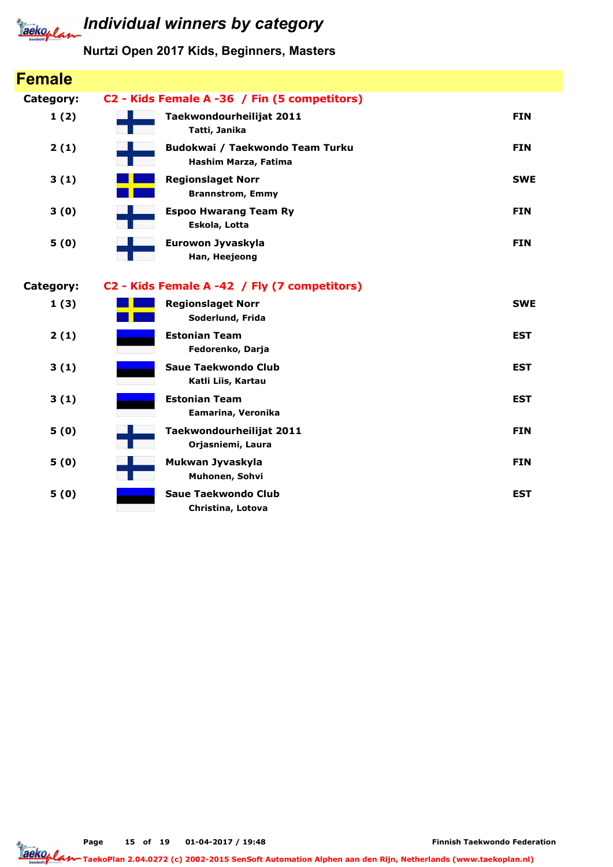#### Nurtzi Open 2017 Kids, Beginners, Masters

| <b>Female</b> |                                                         |            |
|---------------|---------------------------------------------------------|------------|
| Category:     | C2 - Kids Female A -36 / Fin (5 competitors)            |            |
| 1(2)          | Taekwondourheilijat 2011<br>Tatti, Janika               | <b>FIN</b> |
| 2(1)          | Budokwai / Taekwondo Team Turku<br>Hashim Marza, Fatima | <b>FIN</b> |
| 3(1)          | <b>Regionslaget Norr</b><br><b>Brannstrom, Emmy</b>     | <b>SWE</b> |
| 3(0)          | <b>Espoo Hwarang Team Ry</b><br>Eskola, Lotta           | <b>FIN</b> |
| 5(0)          | Eurowon Jyvaskyla<br>Han, Heejeong                      | <b>FIN</b> |
| Category:     | C2 - Kids Female A -42 / Fly (7 competitors)            |            |
| 1(3)          | <b>Regionslaget Norr</b><br>Soderlund, Frida            | <b>SWE</b> |
| 2(1)          | <b>Estonian Team</b><br>Fedorenko, Darja                | <b>EST</b> |
| 3(1)          | Saue Taekwondo Club<br>Katli Liis, Kartau               | <b>EST</b> |
| 3(1)          | <b>Estonian Team</b><br>Eamarina, Veronika              | <b>EST</b> |
| 5(0)          | Taekwondourheilijat 2011<br>Orjasniemi, Laura           | <b>FIN</b> |
| 5(0)          | Mukwan Jyvaskyla<br>Muhonen, Sohvi                      | <b>FIN</b> |
| 5(0)          | <b>Saue Taekwondo Club</b><br>Christina, Lotova         | <b>EST</b> |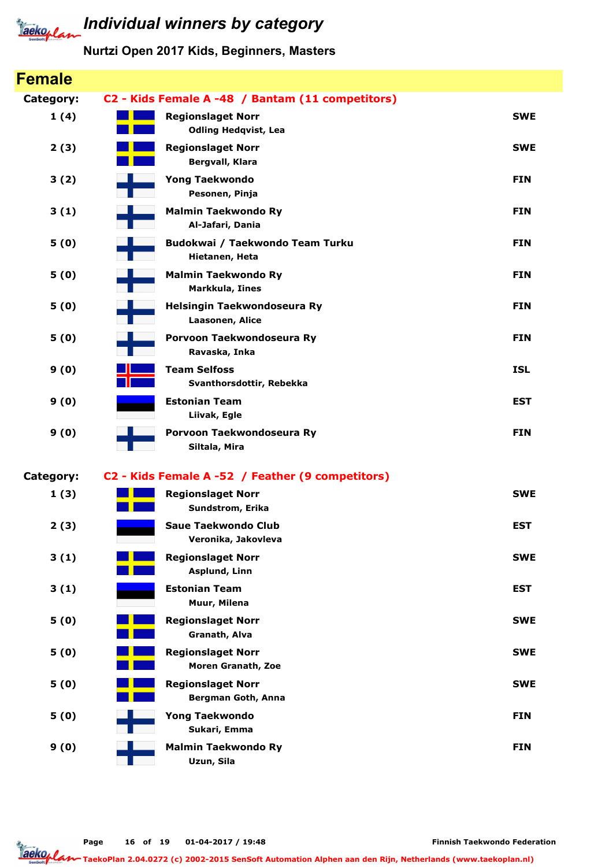

| <b>Female</b>    |                     |                                                         |            |
|------------------|---------------------|---------------------------------------------------------|------------|
| <b>Category:</b> |                     | C2 - Kids Female A -48 / Bantam (11 competitors)        |            |
| 1(4)             |                     | <b>Regionslaget Norr</b><br><b>Odling Hedqvist, Lea</b> | <b>SWE</b> |
| 2(3)             |                     | <b>Regionslaget Norr</b><br>Bergvall, Klara             | <b>SWE</b> |
| 3(2)             |                     | <b>Yong Taekwondo</b><br>Pesonen, Pinja                 | <b>FIN</b> |
| 3(1)             |                     | <b>Malmin Taekwondo Ry</b><br>Al-Jafari, Dania          | <b>FIN</b> |
| 5(0)             |                     | Budokwai / Taekwondo Team Turku<br>Hietanen, Heta       | <b>FIN</b> |
| 5(0)             |                     | <b>Malmin Taekwondo Ry</b><br>Markkula, Iines           | <b>FIN</b> |
| 5(0)             |                     | Helsingin Taekwondoseura Ry<br>Laasonen, Alice          | <b>FIN</b> |
| 5(0)             |                     | Porvoon Taekwondoseura Ry<br>Ravaska, Inka              | <b>FIN</b> |
| 9(0)             | <b>Team Selfoss</b> | Svanthorsdottir, Rebekka                                | <b>ISL</b> |
| 9(0)             |                     | <b>Estonian Team</b><br>Liivak, Egle                    | <b>EST</b> |
| 9(0)             |                     | Porvoon Taekwondoseura Ry<br>Siltala, Mira              | <b>FIN</b> |
| <b>Category:</b> |                     | C2 - Kids Female A -52 / Feather (9 competitors)        |            |
| 1(3)             |                     | <b>Regionslaget Norr</b><br>Sundstrom, Erika            | <b>SWE</b> |
| 2(3)             |                     | Saue Taekwondo Club<br>Veronika, Jakovleva              | <b>EST</b> |
| 3(1)             |                     | <b>Regionslaget Norr</b><br>Asplund, Linn               | <b>SWE</b> |
| 3(1)             |                     | <b>Estonian Team</b><br>Muur, Milena                    | <b>EST</b> |
| 5(0)             |                     | <b>Regionslaget Norr</b><br>Granath, Alva               | <b>SWE</b> |
| 5(0)             |                     | <b>Regionslaget Norr</b><br><b>Moren Granath, Zoe</b>   | <b>SWE</b> |
| 5(0)             |                     | <b>Regionslaget Norr</b><br>Bergman Goth, Anna          | <b>SWE</b> |
| 5(0)             |                     | <b>Yong Taekwondo</b><br>Sukari, Emma                   | <b>FIN</b> |
| 9(0)             |                     | <b>Malmin Taekwondo Ry</b><br>Uzun, Sila                | <b>FIN</b> |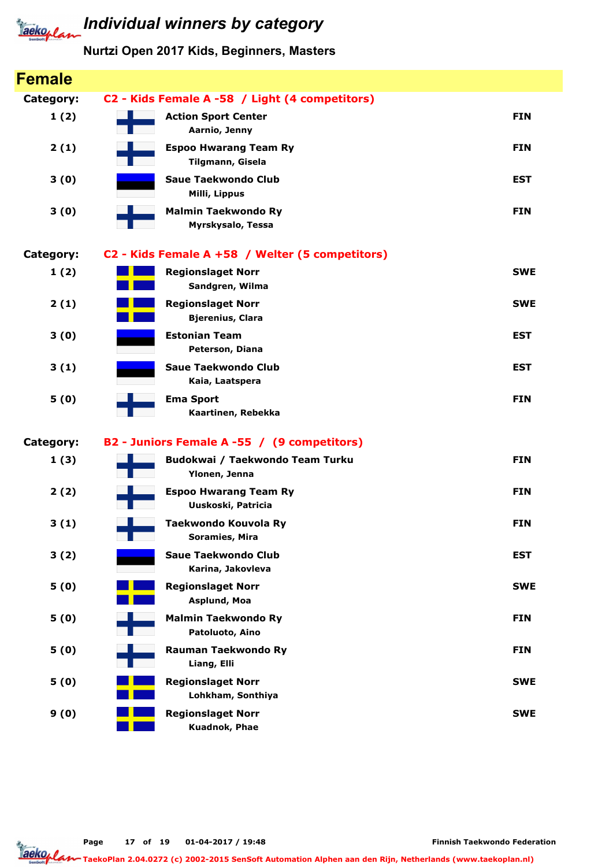

#### Nurtzi Open 2017 Kids, Beginners, Masters

| <b>Female</b> |                                                     |            |
|---------------|-----------------------------------------------------|------------|
| Category:     | C2 - Kids Female A -58 / Light (4 competitors)      |            |
| 1(2)          | <b>Action Sport Center</b><br>Aarnio, Jenny         | <b>FIN</b> |
| 2(1)          | <b>Espoo Hwarang Team Ry</b><br>Tilgmann, Gisela    | <b>FIN</b> |
| 3(0)          | <b>Saue Taekwondo Club</b><br>Milli, Lippus         | <b>EST</b> |
| 3(0)          | <b>Malmin Taekwondo Ry</b><br>Myrskysalo, Tessa     | <b>FIN</b> |
| Category:     | C2 - Kids Female A +58 / Welter (5 competitors)     |            |
| 1(2)          | <b>Regionslaget Norr</b><br>Sandgren, Wilma         | <b>SWE</b> |
| 2(1)          | <b>Regionslaget Norr</b><br><b>Bjerenius, Clara</b> | <b>SWE</b> |
| 3(0)          | <b>Estonian Team</b><br>Peterson, Diana             | <b>EST</b> |
| 3(1)          | <b>Saue Taekwondo Club</b><br>Kaia, Laatspera       | <b>EST</b> |
| 5(0)          | <b>Ema Sport</b><br>Kaartinen, Rebekka              | <b>FIN</b> |
| Category:     | B2 - Juniors Female A -55 / (9 competitors)         |            |
| 1(3)          | Budokwai / Taekwondo Team Turku<br>Ylonen, Jenna    | <b>FIN</b> |
| 2(2)          | <b>Espoo Hwarang Team Ry</b><br>Uuskoski, Patricia  | <b>FIN</b> |
| 3(1)          | Taekwondo Kouvola Ry<br>Soramies, Mira              | <b>FIN</b> |
| 3(2)          | <b>Saue Taekwondo Club</b><br>Karina, Jakovleva     | <b>EST</b> |
| 5(0)          | <b>Regionslaget Norr</b><br>Asplund, Moa            | <b>SWE</b> |
| 5(0)          | <b>Malmin Taekwondo Ry</b><br>Patoluoto, Aino       | <b>FIN</b> |
| 5(0)          | <b>Rauman Taekwondo Ry</b><br>Liang, Elli           | <b>FIN</b> |
| 5(0)          | <b>Regionslaget Norr</b><br>Lohkham, Sonthiya       | <b>SWE</b> |
| 9(0)          | <b>Regionslaget Norr</b><br>Kuadnok, Phae           | <b>SWE</b> |

Page 17 of 19 01-04-2017 / 19:48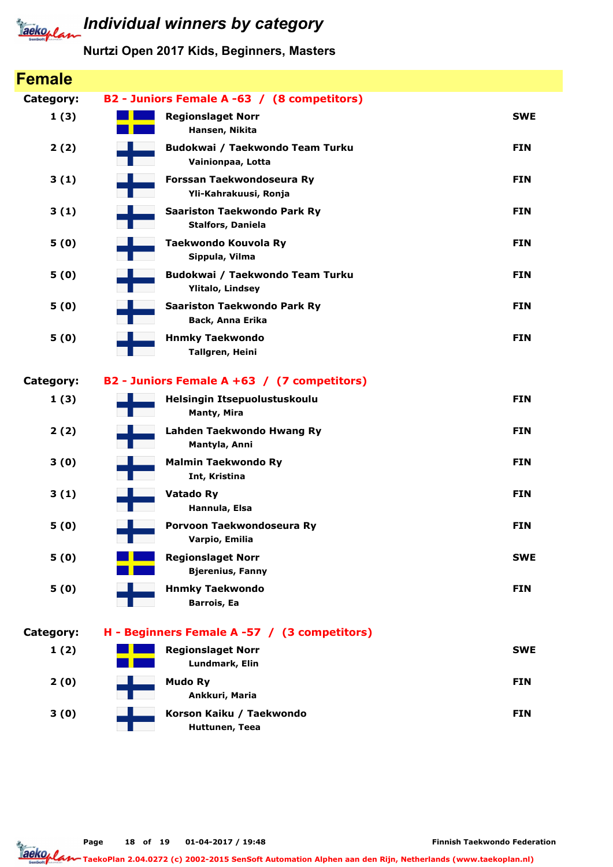

| <b>Female</b> |                                                                |            |
|---------------|----------------------------------------------------------------|------------|
| Category:     | B2 - Juniors Female A -63 / (8 competitors)                    |            |
| 1(3)          | <b>Regionslaget Norr</b><br>Hansen, Nikita                     | <b>SWE</b> |
| 2(2)          | Budokwai / Taekwondo Team Turku<br>Vainionpaa, Lotta           | <b>FIN</b> |
| 3(1)          | Forssan Taekwondoseura Ry<br>Yli-Kahrakuusi, Ronja             | <b>FIN</b> |
| 3(1)          | <b>Saariston Taekwondo Park Ry</b><br><b>Stalfors, Daniela</b> | <b>FIN</b> |
| 5(0)          | Taekwondo Kouvola Ry<br>Sippula, Vilma                         | <b>FIN</b> |
| 5(0)          | Budokwai / Taekwondo Team Turku<br><b>Ylitalo, Lindsey</b>     | <b>FIN</b> |
| 5(0)          | <b>Saariston Taekwondo Park Ry</b><br>Back, Anna Erika         | <b>FIN</b> |
| 5(0)          | <b>Hnmky Taekwondo</b><br>Tallgren, Heini                      | <b>FIN</b> |
| Category:     | B2 - Juniors Female A +63 / (7 competitors)                    |            |
| 1(3)          | Helsingin Itsepuolustuskoulu<br><b>Manty, Mira</b>             | <b>FIN</b> |
| 2(2)          | Lahden Taekwondo Hwang Ry<br>Mantyla, Anni                     | <b>FIN</b> |
| 3(0)          | <b>Malmin Taekwondo Ry</b><br>Int, Kristina                    | <b>FIN</b> |
| 3(1)          | <b>Vatado Ry</b><br>Hannula, Elsa                              | <b>FIN</b> |
| 5(0)          | Porvoon Taekwondoseura Ry<br>Varpio, Emilia                    | <b>FIN</b> |
| 5(0)          | <b>Regionslaget Norr</b><br><b>Bjerenius, Fanny</b>            | <b>SWE</b> |
| 5(0)          | <b>Hnmky Taekwondo</b><br><b>Barrois, Ea</b>                   | <b>FIN</b> |
| Category:     | H - Beginners Female A -57 / (3 competitors)                   |            |
| 1(2)          | <b>Regionslaget Norr</b><br>Lundmark, Elin                     | <b>SWE</b> |
| 2(0)          | <b>Mudo Ry</b><br>Ankkuri, Maria                               | <b>FIN</b> |
| 3(0)          | Korson Kaiku / Taekwondo<br>Huttunen, Teea                     | <b>FIN</b> |